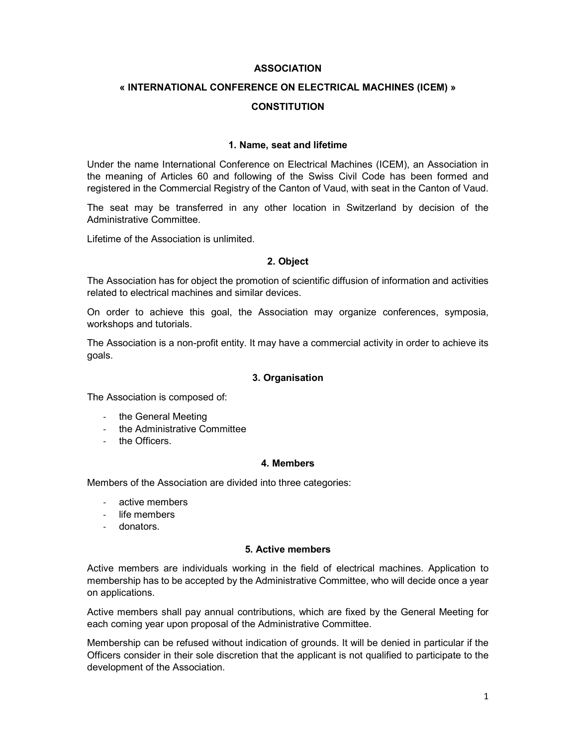### ASSOCIATION

# « INTERNATIONAL CONFERENCE ON ELECTRICAL MACHINES (ICEM) » **CONSTITUTION**

#### 1. Name, seat and lifetime

Under the name International Conference on Electrical Machines (ICEM), an Association in the meaning of Articles 60 and following of the Swiss Civil Code has been formed and registered in the Commercial Registry of the Canton of Vaud, with seat in the Canton of Vaud.

The seat may be transferred in any other location in Switzerland by decision of the Administrative Committee.

Lifetime of the Association is unlimited.

#### 2. Object

The Association has for object the promotion of scientific diffusion of information and activities related to electrical machines and similar devices.

On order to achieve this goal, the Association may organize conferences, symposia, workshops and tutorials.

The Association is a non-profit entity. It may have a commercial activity in order to achieve its goals.

#### 3. Organisation

The Association is composed of:

- the General Meeting
- the Administrative Committee
- the Officers.

#### 4. Members

Members of the Association are divided into three categories:

- active members
- life members
- donators.

## 5. Active members

Active members are individuals working in the field of electrical machines. Application to membership has to be accepted by the Administrative Committee, who will decide once a year on applications.

Active members shall pay annual contributions, which are fixed by the General Meeting for each coming year upon proposal of the Administrative Committee.

Membership can be refused without indication of grounds. It will be denied in particular if the Officers consider in their sole discretion that the applicant is not qualified to participate to the development of the Association.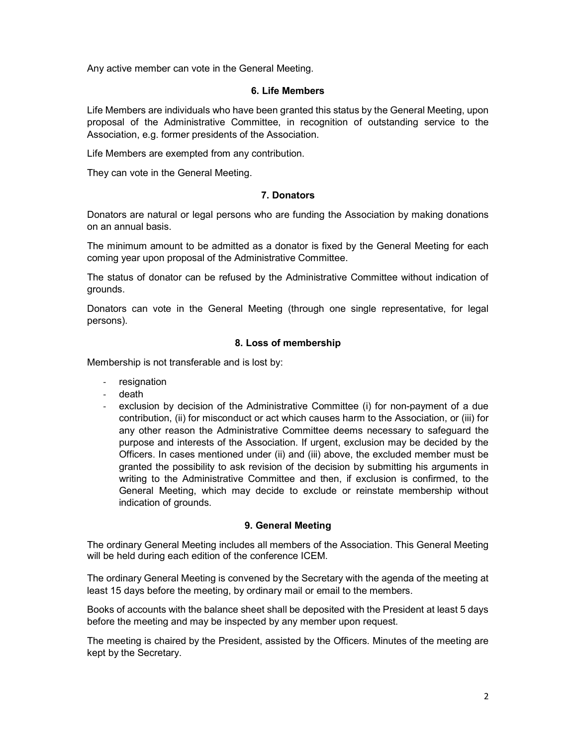Any active member can vote in the General Meeting.

#### 6. Life Members

Life Members are individuals who have been granted this status by the General Meeting, upon proposal of the Administrative Committee, in recognition of outstanding service to the Association, e.g. former presidents of the Association.

Life Members are exempted from any contribution.

They can vote in the General Meeting.

## 7. Donators

Donators are natural or legal persons who are funding the Association by making donations on an annual basis.

The minimum amount to be admitted as a donator is fixed by the General Meeting for each coming year upon proposal of the Administrative Committee.

The status of donator can be refused by the Administrative Committee without indication of grounds.

Donators can vote in the General Meeting (through one single representative, for legal persons).

### 8. Loss of membership

Membership is not transferable and is lost by:

- resignation
- death
- exclusion by decision of the Administrative Committee (i) for non-payment of a due contribution, (ii) for misconduct or act which causes harm to the Association, or (iii) for any other reason the Administrative Committee deems necessary to safeguard the purpose and interests of the Association. If urgent, exclusion may be decided by the Officers. In cases mentioned under (ii) and (iii) above, the excluded member must be granted the possibility to ask revision of the decision by submitting his arguments in writing to the Administrative Committee and then, if exclusion is confirmed, to the General Meeting, which may decide to exclude or reinstate membership without indication of grounds.

## 9. General Meeting

The ordinary General Meeting includes all members of the Association. This General Meeting will be held during each edition of the conference ICEM.

The ordinary General Meeting is convened by the Secretary with the agenda of the meeting at least 15 days before the meeting, by ordinary mail or email to the members.

Books of accounts with the balance sheet shall be deposited with the President at least 5 days before the meeting and may be inspected by any member upon request.

The meeting is chaired by the President, assisted by the Officers. Minutes of the meeting are kept by the Secretary.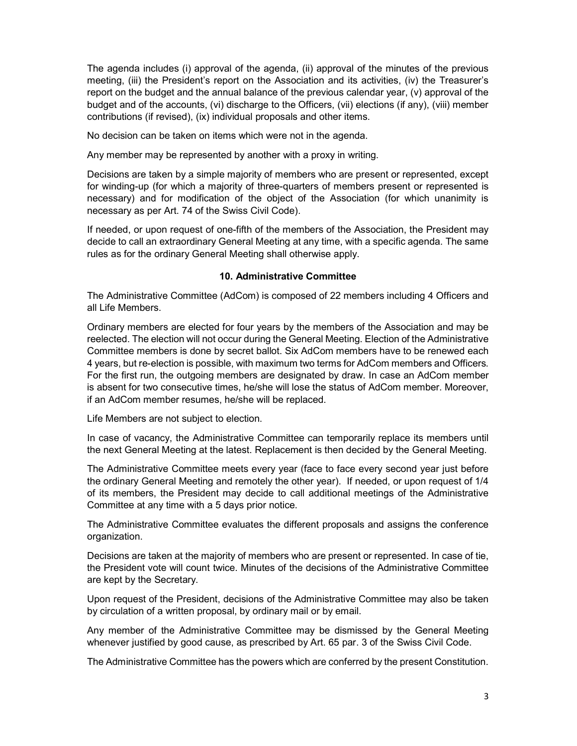The agenda includes (i) approval of the agenda, (ii) approval of the minutes of the previous meeting, (iii) the President's report on the Association and its activities, (iv) the Treasurer's report on the budget and the annual balance of the previous calendar year, (v) approval of the budget and of the accounts, (vi) discharge to the Officers, (vii) elections (if any), (viii) member contributions (if revised), (ix) individual proposals and other items.

No decision can be taken on items which were not in the agenda.

Any member may be represented by another with a proxy in writing.

Decisions are taken by a simple majority of members who are present or represented, except for winding-up (for which a majority of three-quarters of members present or represented is necessary) and for modification of the object of the Association (for which unanimity is necessary as per Art. 74 of the Swiss Civil Code).

If needed, or upon request of one-fifth of the members of the Association, the President may decide to call an extraordinary General Meeting at any time, with a specific agenda. The same rules as for the ordinary General Meeting shall otherwise apply.

### 10. Administrative Committee

The Administrative Committee (AdCom) is composed of 22 members including 4 Officers and all Life Members.

Ordinary members are elected for four years by the members of the Association and may be reelected. The election will not occur during the General Meeting. Election of the Administrative Committee members is done by secret ballot. Six AdCom members have to be renewed each 4 years, but re-election is possible, with maximum two terms for AdCom members and Officers. For the first run, the outgoing members are designated by draw. In case an AdCom member is absent for two consecutive times, he/she will lose the status of AdCom member. Moreover, if an AdCom member resumes, he/she will be replaced.

Life Members are not subject to election.

In case of vacancy, the Administrative Committee can temporarily replace its members until the next General Meeting at the latest. Replacement is then decided by the General Meeting.

The Administrative Committee meets every year (face to face every second year just before the ordinary General Meeting and remotely the other year). If needed, or upon request of 1/4 of its members, the President may decide to call additional meetings of the Administrative Committee at any time with a 5 days prior notice.

The Administrative Committee evaluates the different proposals and assigns the conference organization.

Decisions are taken at the majority of members who are present or represented. In case of tie, the President vote will count twice. Minutes of the decisions of the Administrative Committee are kept by the Secretary.

Upon request of the President, decisions of the Administrative Committee may also be taken by circulation of a written proposal, by ordinary mail or by email.

Any member of the Administrative Committee may be dismissed by the General Meeting whenever justified by good cause, as prescribed by Art. 65 par. 3 of the Swiss Civil Code.

The Administrative Committee has the powers which are conferred by the present Constitution.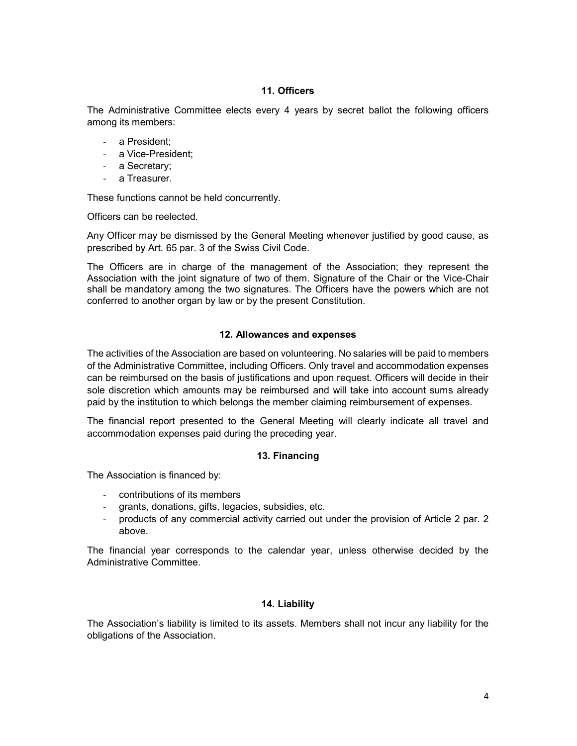## 11. Officers

The Administrative Committee elects every 4 years by secret ballot the following officers among its members:

- a President;
- a Vice-President;
- a Secretary;
- a Treasurer.

These functions cannot be held concurrently.

Officers can be reelected.

Any Officer may be dismissed by the General Meeting whenever justified by good cause, as prescribed by Art. 65 par. 3 of the Swiss Civil Code.

The Officers are in charge of the management of the Association; they represent the Association with the joint signature of two of them. Signature of the Chair or the Vice-Chair shall be mandatory among the two signatures. The Officers have the powers which are not conferred to another organ by law or by the present Constitution.

## 12. Allowances and expenses

The activities of the Association are based on volunteering. No salaries will be paid to members of the Administrative Committee, including Officers. Only travel and accommodation expenses can be reimbursed on the basis of justifications and upon request. Officers will decide in their sole discretion which amounts may be reimbursed and will take into account sums already paid by the institution to which belongs the member claiming reimbursement of expenses.

The financial report presented to the General Meeting will clearly indicate all travel and accommodation expenses paid during the preceding year.

## 13. Financing

The Association is financed by:

- contributions of its members
- grants, donations, gifts, legacies, subsidies, etc.
- products of any commercial activity carried out under the provision of Article 2 par. 2 above.

The financial year corresponds to the calendar year, unless otherwise decided by the Administrative Committee.

## 14. Liability

The Association's liability is limited to its assets. Members shall not incur any liability for the obligations of the Association.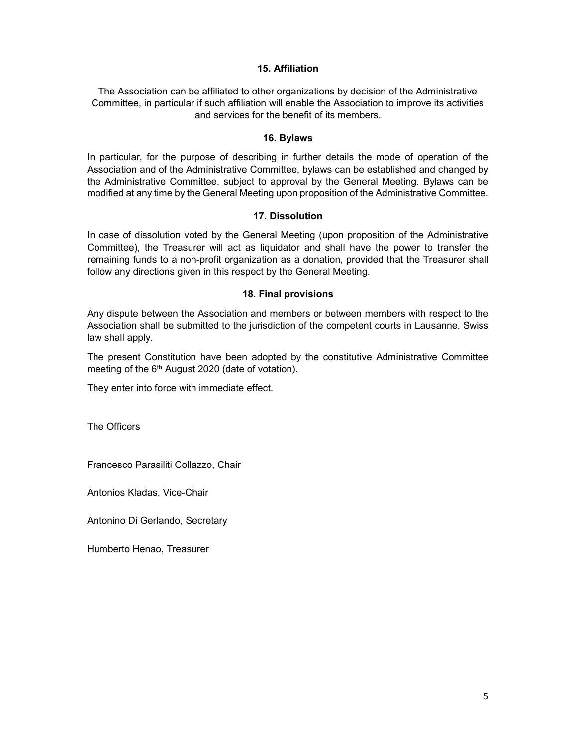### 15. Affiliation

The Association can be affiliated to other organizations by decision of the Administrative Committee, in particular if such affiliation will enable the Association to improve its activities and services for the benefit of its members.

#### 16. Bylaws

In particular, for the purpose of describing in further details the mode of operation of the Association and of the Administrative Committee, bylaws can be established and changed by the Administrative Committee, subject to approval by the General Meeting. Bylaws can be modified at any time by the General Meeting upon proposition of the Administrative Committee.

#### 17. Dissolution

In case of dissolution voted by the General Meeting (upon proposition of the Administrative Committee), the Treasurer will act as liquidator and shall have the power to transfer the remaining funds to a non-profit organization as a donation, provided that the Treasurer shall follow any directions given in this respect by the General Meeting.

#### 18. Final provisions

Any dispute between the Association and members or between members with respect to the Association shall be submitted to the jurisdiction of the competent courts in Lausanne. Swiss law shall apply.

The present Constitution have been adopted by the constitutive Administrative Committee meeting of the  $6<sup>th</sup>$  August 2020 (date of votation).

They enter into force with immediate effect.

The Officers

Francesco Parasiliti Collazzo, Chair

Antonios Kladas, Vice-Chair

Antonino Di Gerlando, Secretary

Humberto Henao, Treasurer